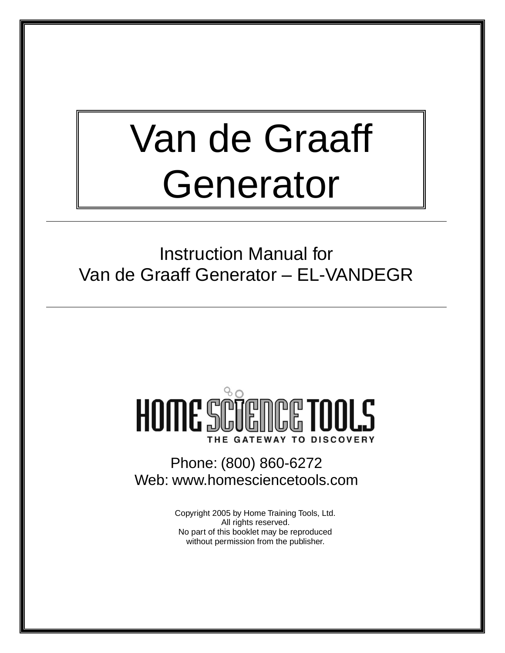# Van de Graaff Generator

Instruction Manual for Van de Graaff Generator – EL-VANDEGR

## $8c$ HOME SCIENCE TOOLS THE GATEWAY TO DISCOVERY

Phone: (800) 860-6272 Web: www.homesciencetools.com

> Copyright 2005 by Home Training Tools, Ltd. All rights reserved. No part of this booklet may be reproduced without permission from the publisher.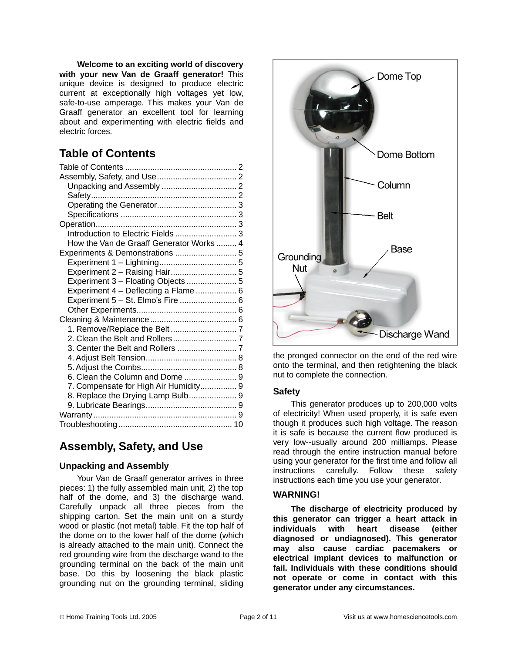**Welcome to an exciting world of discovery with your new Van de Graaff generator!** This unique device is designed to produce electric current at exceptionally high voltages yet low, safe-to-use amperage. This makes your Van de Graaff generator an excellent tool for learning about and experimenting with electric fields and electric forces.

## **Table of Contents**

| Introduction to Electric Fields  3       |  |
|------------------------------------------|--|
| How the Van de Graaff Generator Works  4 |  |
|                                          |  |
|                                          |  |
| Experiment 2 - Raising Hair 5            |  |
| Experiment 3 - Floating Objects  5       |  |
| Experiment 4 - Deflecting a Flame  6     |  |
| Experiment 5 - St. Elmo's Fire  6        |  |
|                                          |  |
|                                          |  |
|                                          |  |
|                                          |  |
|                                          |  |
|                                          |  |
|                                          |  |
|                                          |  |
| 7. Compensate for High Air Humidity 9    |  |
| 8. Replace the Drying Lamp Bulb 9        |  |
|                                          |  |
|                                          |  |
|                                          |  |

## **Assembly, Safety, and Use**

#### **Unpacking and Assembly**

Your Van de Graaff generator arrives in three pieces: 1) the fully assembled main unit, 2) the top half of the dome, and 3) the discharge wand. Carefully unpack all three pieces from the shipping carton. Set the main unit on a sturdy wood or plastic (not metal) table. Fit the top half of the dome on to the lower half of the dome (which is already attached to the main unit). Connect the red grounding wire from the discharge wand to the grounding terminal on the back of the main unit base. Do this by loosening the black plastic grounding nut on the grounding terminal, sliding



the pronged connector on the end of the red wire onto the terminal, and then retightening the black nut to complete the connection.

#### **Safety**

This generator produces up to 200,000 volts of electricity! When used properly, it is safe even though it produces such high voltage. The reason it is safe is because the current flow produced is very low--usually around 200 milliamps. Please read through the entire instruction manual before using your generator for the first time and follow all instructions carefully. Follow these safety instructions each time you use your generator.

#### **WARNING!**

**The discharge of electricity produced by this generator can trigger a heart attack in individuals with heart disease (either diagnosed or undiagnosed). This generator may also cause cardiac pacemakers or electrical implant devices to malfunction or fail. Individuals with these conditions should not operate or come in contact with this generator under any circumstances.**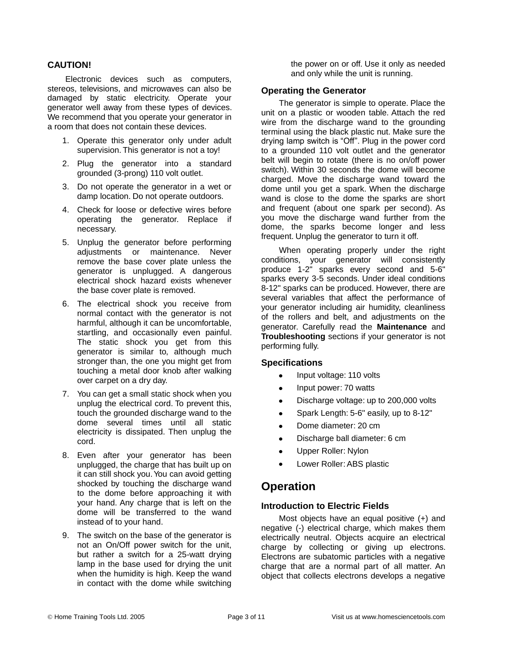#### **CAUTION!**

Electronic devices such as computers, stereos, televisions, and microwaves can also be damaged by static electricity. Operate your generator well away from these types of devices. We recommend that you operate your generator in a room that does not contain these devices.

- 1. Operate this generator only under adult supervision. This generator is not a toy!
- 2. Plug the generator into a standard grounded (3-prong) 110 volt outlet.
- 3. Do not operate the generator in a wet or damp location. Do not operate outdoors.
- 4. Check for loose or defective wires before operating the generator. Replace if necessary.
- 5. Unplug the generator before performing adjustments or maintenance. Never remove the base cover plate unless the generator is unplugged. A dangerous electrical shock hazard exists whenever the base cover plate is removed.
- 6. The electrical shock you receive from normal contact with the generator is not harmful, although it can be uncomfortable, startling, and occasionally even painful. The static shock you get from this generator is similar to, although much stronger than, the one you might get from touching a metal door knob after walking over carpet on a dry day.
- 7. You can get a small static shock when you unplug the electrical cord. To prevent this, touch the grounded discharge wand to the dome several times until all static electricity is dissipated. Then unplug the cord.
- 8. Even after your generator has been unplugged, the charge that has built up on it can still shock you. You can avoid getting shocked by touching the discharge wand to the dome before approaching it with your hand. Any charge that is left on the dome will be transferred to the wand instead of to your hand.
- 9. The switch on the base of the generator is not an On/Off power switch for the unit, but rather a switch for a 25-watt drying lamp in the base used for drying the unit when the humidity is high. Keep the wand in contact with the dome while switching

the power on or off. Use it only as needed and only while the unit is running.

#### **Operating the Generator**

The generator is simple to operate. Place the unit on a plastic or wooden table. Attach the red wire from the discharge wand to the grounding terminal using the black plastic nut. Make sure the drying lamp switch is "Off". Plug in the power cord to a grounded 110 volt outlet and the generator belt will begin to rotate (there is no on/off power switch). Within 30 seconds the dome will become charged. Move the discharge wand toward the dome until you get a spark. When the discharge wand is close to the dome the sparks are short and frequent (about one spark per second). As you move the discharge wand further from the dome, the sparks become longer and less frequent. Unplug the generator to turn it off.

When operating properly under the right conditions, your generator will consistently produce 1-2" sparks every second and 5-6" sparks every 3-5 seconds. Under ideal conditions 8-12" sparks can be produced. However, there are several variables that affect the performance of your generator including air humidity, cleanliness of the rollers and belt, and adjustments on the generator. Carefully read the **Maintenance** and **Troubleshooting** sections if your generator is not performing fully.

#### **Specifications**

- Input voltage: 110 volts
- Input power: 70 watts  $\bullet$
- Discharge voltage: up to 200,000 volts
- Spark Length: 5-6" easily, up to 8-12"
- Dome diameter: 20 cm
- Discharge ball diameter: 6 cm
- Upper Roller: Nylon
- Lower Roller: ABS plastic

#### **Operation**

#### **Introduction to Electric Fields**

Most objects have an equal positive (+) and negative (-) electrical charge, which makes them electrically neutral. Objects acquire an electrical charge by collecting or giving up electrons. Electrons are subatomic particles with a negative charge that are a normal part of all matter. An object that collects electrons develops a negative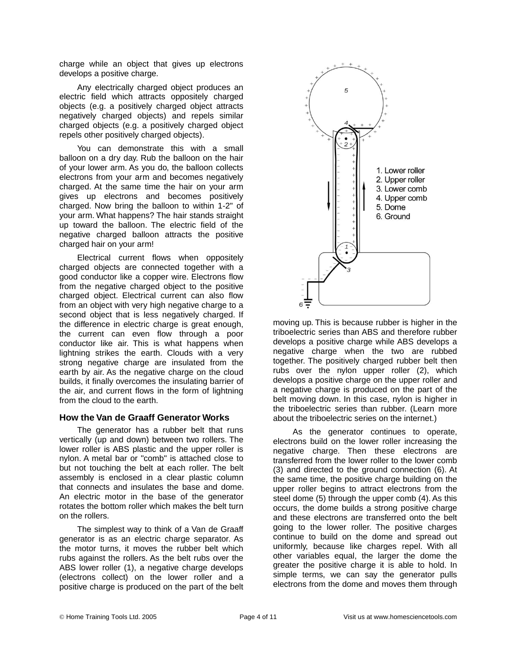charge while an object that gives up electrons develops a positive charge.

Any electrically charged object produces an electric field which attracts oppositely charged objects (e.g. a positively charged object attracts negatively charged objects) and repels similar charged objects (e.g. a positively charged object repels other positively charged objects).

You can demonstrate this with a small balloon on a dry day. Rub the balloon on the hair of your lower arm. As you do, the balloon collects electrons from your arm and becomes negatively charged. At the same time the hair on your arm gives up electrons and becomes positively charged. Now bring the balloon to within 1-2" of your arm. What happens? The hair stands straight up toward the balloon. The electric field of the negative charged balloon attracts the positive charged hair on your arm!

Electrical current flows when oppositely charged objects are connected together with a good conductor like a copper wire. Electrons flow from the negative charged object to the positive charged object. Electrical current can also flow from an object with very high negative charge to a second object that is less negatively charged. If the difference in electric charge is great enough, the current can even flow through a poor conductor like air. This is what happens when lightning strikes the earth. Clouds with a very strong negative charge are insulated from the earth by air. As the negative charge on the cloud builds, it finally overcomes the insulating barrier of the air, and current flows in the form of lightning from the cloud to the earth.

#### **How the Van de Graaff Generator Works**

The generator has a rubber belt that runs vertically (up and down) between two rollers. The lower roller is ABS plastic and the upper roller is nylon. A metal bar or "comb" is attached close to but not touching the belt at each roller. The belt assembly is enclosed in a clear plastic column that connects and insulates the base and dome. An electric motor in the base of the generator rotates the bottom roller which makes the belt turn on the rollers.

The simplest way to think of a Van de Graaff generator is as an electric charge separator. As the motor turns, it moves the rubber belt which rubs against the rollers. As the belt rubs over the ABS lower roller (1), a negative charge develops (electrons collect) on the lower roller and a positive charge is produced on the part of the belt



moving up. This is because rubber is higher in the triboelectric series than ABS and therefore rubber develops a positive charge while ABS develops a negative charge when the two are rubbed together. The positively charged rubber belt then rubs over the nylon upper roller (2), which develops a positive charge on the upper roller and a negative charge is produced on the part of the belt moving down. In this case, nylon is higher in the triboelectric series than rubber. (Learn more about the triboelectric series on the internet.)

As the generator continues to operate, electrons build on the lower roller increasing the negative charge. Then these electrons are transferred from the lower roller to the lower comb (3) and directed to the ground connection (6). At the same time, the positive charge building on the upper roller begins to attract electrons from the steel dome (5) through the upper comb (4). As this occurs, the dome builds a strong positive charge and these electrons are transferred onto the belt going to the lower roller. The positive charges continue to build on the dome and spread out uniformly, because like charges repel. With all other variables equal, the larger the dome the greater the positive charge it is able to hold. In simple terms, we can say the generator pulls electrons from the dome and moves them through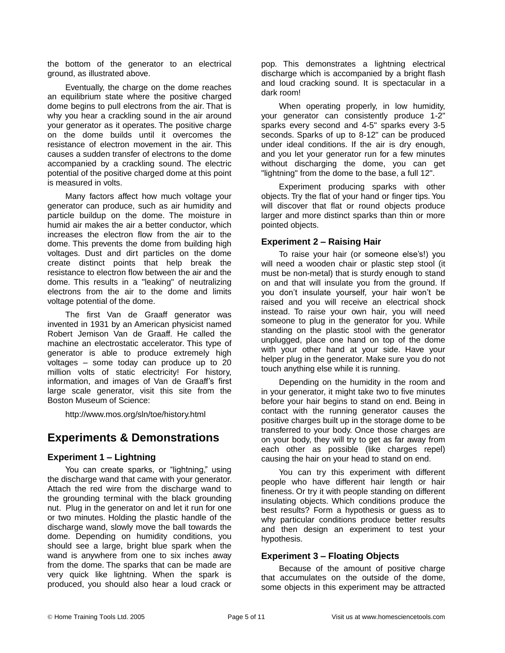the bottom of the generator to an electrical ground, as illustrated above.

Eventually, the charge on the dome reaches an equilibrium state where the positive charged dome begins to pull electrons from the air. That is why you hear a crackling sound in the air around your generator as it operates. The positive charge on the dome builds until it overcomes the resistance of electron movement in the air. This causes a sudden transfer of electrons to the dome accompanied by a crackling sound. The electric potential of the positive charged dome at this point is measured in volts.

Many factors affect how much voltage your generator can produce, such as air humidity and particle buildup on the dome. The moisture in humid air makes the air a better conductor, which increases the electron flow from the air to the dome. This prevents the dome from building high voltages. Dust and dirt particles on the dome create distinct points that help break the resistance to electron flow between the air and the dome. This results in a "leaking" of neutralizing electrons from the air to the dome and limits voltage potential of the dome.

The first Van de Graaff generator was invented in 1931 by an American physicist named Robert Jemison Van de Graaff. He called the machine an electrostatic accelerator. This type of generator is able to produce extremely high voltages – some today can produce up to 20 million volts of static electricity! For history, information, and images of Van de Graaff's first large scale generator, visit this site from the Boston Museum of Science:

http://www.mos.org/sln/toe/history.html

#### **Experiments & Demonstrations**

#### **Experiment 1 – Lightning**

You can create sparks, or "lightning," using the discharge wand that came with your generator. Attach the red wire from the discharge wand to the grounding terminal with the black grounding nut. Plug in the generator on and let it run for one or two minutes. Holding the plastic handle of the discharge wand, slowly move the ball towards the dome. Depending on humidity conditions, you should see a large, bright blue spark when the wand is anywhere from one to six inches away from the dome. The sparks that can be made are very quick like lightning. When the spark is produced, you should also hear a loud crack or

pop. This demonstrates a lightning electrical discharge which is accompanied by a bright flash and loud cracking sound. It is spectacular in a dark room!

When operating properly, in low humidity, your generator can consistently produce 1-2" sparks every second and 4-5" sparks every 3-5 seconds. Sparks of up to 8-12" can be produced under ideal conditions. If the air is dry enough, and you let your generator run for a few minutes without discharging the dome, you can get "lightning" from the dome to the base, a full 12".

Experiment producing sparks with other objects. Try the flat of your hand or finger tips. You will discover that flat or round objects produce larger and more distinct sparks than thin or more pointed objects.

#### **Experiment 2 – Raising Hair**

To raise your hair (or someone else's!) you will need a wooden chair or plastic step stool (it must be non-metal) that is sturdy enough to stand on and that will insulate you from the ground. If you don't insulate yourself, your hair won't be raised and you will receive an electrical shock instead. To raise your own hair, you will need someone to plug in the generator for you. While standing on the plastic stool with the generator unplugged, place one hand on top of the dome with your other hand at your side. Have your helper plug in the generator. Make sure you do not touch anything else while it is running.

Depending on the humidity in the room and in your generator, it might take two to five minutes before your hair begins to stand on end. Being in contact with the running generator causes the positive charges built up in the storage dome to be transferred to your body. Once those charges are on your body, they will try to get as far away from each other as possible (like charges repel) causing the hair on your head to stand on end.

You can try this experiment with different people who have different hair length or hair fineness. Or try it with people standing on different insulating objects. Which conditions produce the best results? Form a hypothesis or guess as to why particular conditions produce better results and then design an experiment to test your hypothesis.

#### **Experiment 3 – Floating Objects**

Because of the amount of positive charge that accumulates on the outside of the dome, some objects in this experiment may be attracted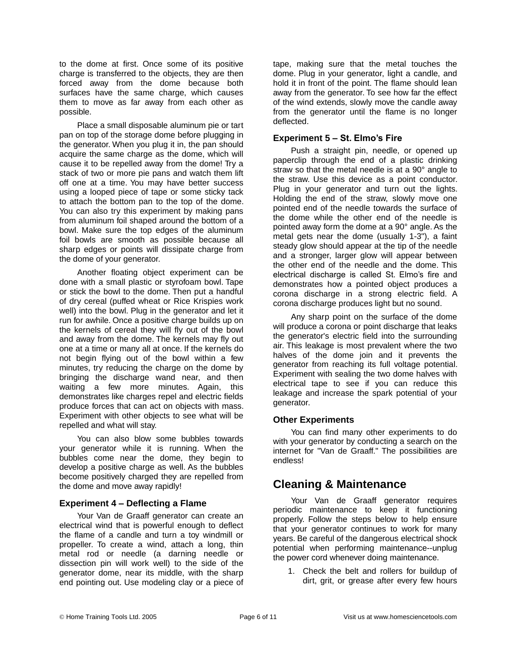to the dome at first. Once some of its positive charge is transferred to the objects, they are then forced away from the dome because both surfaces have the same charge, which causes them to move as far away from each other as possible.

Place a small disposable aluminum pie or tart pan on top of the storage dome before plugging in the generator. When you plug it in, the pan should acquire the same charge as the dome, which will cause it to be repelled away from the dome! Try a stack of two or more pie pans and watch them lift off one at a time. You may have better success using a looped piece of tape or some sticky tack to attach the bottom pan to the top of the dome. You can also try this experiment by making pans from aluminum foil shaped around the bottom of a bowl. Make sure the top edges of the aluminum foil bowls are smooth as possible because all sharp edges or points will dissipate charge from the dome of your generator.

Another floating object experiment can be done with a small plastic or styrofoam bowl. Tape or stick the bowl to the dome. Then put a handful of dry cereal (puffed wheat or Rice Krispies work well) into the bowl. Plug in the generator and let it run for awhile. Once a positive charge builds up on the kernels of cereal they will fly out of the bowl and away from the dome. The kernels may fly out one at a time or many all at once. If the kernels do not begin flying out of the bowl within a few minutes, try reducing the charge on the dome by bringing the discharge wand near, and then waiting a few more minutes. Again, this demonstrates like charges repel and electric fields produce forces that can act on objects with mass. Experiment with other objects to see what will be repelled and what will stay.

You can also blow some bubbles towards your generator while it is running. When the bubbles come near the dome, they begin to develop a positive charge as well. As the bubbles become positively charged they are repelled from the dome and move away rapidly!

#### **Experiment 4 – Deflecting a Flame**

Your Van de Graaff generator can create an electrical wind that is powerful enough to deflect the flame of a candle and turn a toy windmill or propeller. To create a wind, attach a long, thin metal rod or needle (a darning needle or dissection pin will work well) to the side of the generator dome, near its middle, with the sharp end pointing out. Use modeling clay or a piece of tape, making sure that the metal touches the dome. Plug in your generator, light a candle, and hold it in front of the point. The flame should lean away from the generator. To see how far the effect of the wind extends, slowly move the candle away from the generator until the flame is no longer deflected.

#### **Experiment 5 – St. Elmo's Fire**

Push a straight pin, needle, or opened up paperclip through the end of a plastic drinking straw so that the metal needle is at a 90° angle to the straw. Use this device as a point conductor. Plug in your generator and turn out the lights. Holding the end of the straw, slowly move one pointed end of the needle towards the surface of the dome while the other end of the needle is pointed away form the dome at a 90° angle. As the metal gets near the dome (usually 1-3"), a faint steady glow should appear at the tip of the needle and a stronger, larger glow will appear between the other end of the needle and the dome. This electrical discharge is called St. Elmo's fire and demonstrates how a pointed object produces a corona discharge in a strong electric field. A corona discharge produces light but no sound.

Any sharp point on the surface of the dome will produce a corona or point discharge that leaks the generator's electric field into the surrounding air. This leakage is most prevalent where the two halves of the dome join and it prevents the generator from reaching its full voltage potential. Experiment with sealing the two dome halves with electrical tape to see if you can reduce this leakage and increase the spark potential of your generator.

#### **Other Experiments**

You can find many other experiments to do with your generator by conducting a search on the internet for "Van de Graaff." The possibilities are endless!

### **Cleaning & Maintenance**

Your Van de Graaff generator requires periodic maintenance to keep it functioning properly. Follow the steps below to help ensure that your generator continues to work for many years. Be careful of the dangerous electrical shock potential when performing maintenance--unplug the power cord whenever doing maintenance.

1. Check the belt and rollers for buildup of dirt, grit, or grease after every few hours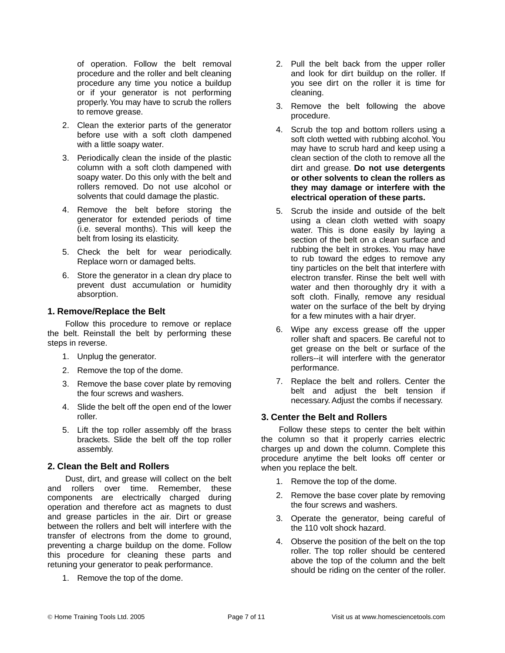of operation. Follow the belt removal procedure and the roller and belt cleaning procedure any time you notice a buildup or if your generator is not performing properly. You may have to scrub the rollers to remove grease.

- 2. Clean the exterior parts of the generator before use with a soft cloth dampened with a little soapy water.
- 3. Periodically clean the inside of the plastic column with a soft cloth dampened with soapy water. Do this only with the belt and rollers removed. Do not use alcohol or solvents that could damage the plastic.
- 4. Remove the belt before storing the generator for extended periods of time (i.e. several months). This will keep the belt from losing its elasticity.
- 5. Check the belt for wear periodically. Replace worn or damaged belts.
- 6. Store the generator in a clean dry place to prevent dust accumulation or humidity absorption.

#### **1. Remove/Replace the Belt**

Follow this procedure to remove or replace the belt. Reinstall the belt by performing these steps in reverse.

- 1. Unplug the generator.
- 2. Remove the top of the dome.
- 3. Remove the base cover plate by removing the four screws and washers.
- 4. Slide the belt off the open end of the lower roller.
- 5. Lift the top roller assembly off the brass brackets. Slide the belt off the top roller assembly.

#### **2. Clean the Belt and Rollers**

Dust, dirt, and grease will collect on the belt and rollers over time. Remember, these components are electrically charged during operation and therefore act as magnets to dust and grease particles in the air. Dirt or grease between the rollers and belt will interfere with the transfer of electrons from the dome to ground, preventing a charge buildup on the dome. Follow this procedure for cleaning these parts and retuning your generator to peak performance.

1. Remove the top of the dome.

- 2. Pull the belt back from the upper roller and look for dirt buildup on the roller. If you see dirt on the roller it is time for cleaning.
- 3. Remove the belt following the above procedure.
- 4. Scrub the top and bottom rollers using a soft cloth wetted with rubbing alcohol. You may have to scrub hard and keep using a clean section of the cloth to remove all the dirt and grease. **Do not use detergents or other solvents to clean the rollers as they may damage or interfere with the electrical operation of these parts.**
- 5. Scrub the inside and outside of the belt using a clean cloth wetted with soapy water. This is done easily by laying a section of the belt on a clean surface and rubbing the belt in strokes. You may have to rub toward the edges to remove any tiny particles on the belt that interfere with electron transfer. Rinse the belt well with water and then thoroughly dry it with a soft cloth. Finally, remove any residual water on the surface of the belt by drying for a few minutes with a hair dryer.
- 6. Wipe any excess grease off the upper roller shaft and spacers. Be careful not to get grease on the belt or surface of the rollers--it will interfere with the generator performance.
- 7. Replace the belt and rollers. Center the belt and adjust the belt tension if necessary. Adjust the combs if necessary.

#### **3. Center the Belt and Rollers**

Follow these steps to center the belt within the column so that it properly carries electric charges up and down the column. Complete this procedure anytime the belt looks off center or when you replace the belt.

- 1. Remove the top of the dome.
- 2. Remove the base cover plate by removing the four screws and washers.
- 3. Operate the generator, being careful of the 110 volt shock hazard.
- 4. Observe the position of the belt on the top roller. The top roller should be centered above the top of the column and the belt should be riding on the center of the roller.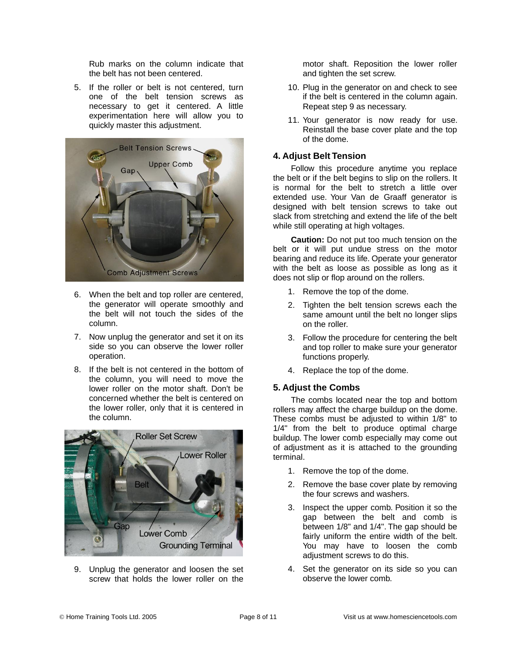Rub marks on the column indicate that the belt has not been centered.

5. If the roller or belt is not centered, turn one of the belt tension screws as necessary to get it centered. A little experimentation here will allow you to quickly master this adjustment.



- 6. When the belt and top roller are centered, the generator will operate smoothly and the belt will not touch the sides of the column.
- 7. Now unplug the generator and set it on its side so you can observe the lower roller operation.
- 8. If the belt is not centered in the bottom of the column, you will need to move the lower roller on the motor shaft. Don't be concerned whether the belt is centered on the lower roller, only that it is centered in the column.



9. Unplug the generator and loosen the set screw that holds the lower roller on the motor shaft. Reposition the lower roller and tighten the set screw.

- 10. Plug in the generator on and check to see if the belt is centered in the column again. Repeat step 9 as necessary.
- 11. Your generator is now ready for use. Reinstall the base cover plate and the top of the dome.

#### **4. Adjust Belt Tension**

Follow this procedure anytime you replace the belt or if the belt begins to slip on the rollers. It is normal for the belt to stretch a little over extended use. Your Van de Graaff generator is designed with belt tension screws to take out slack from stretching and extend the life of the belt while still operating at high voltages.

**Caution:** Do not put too much tension on the belt or it will put undue stress on the motor bearing and reduce its life. Operate your generator with the belt as loose as possible as long as it does not slip or flop around on the rollers.

- 1. Remove the top of the dome.
- 2. Tighten the belt tension screws each the same amount until the belt no longer slips on the roller.
- 3. Follow the procedure for centering the belt and top roller to make sure your generator functions properly.
- 4. Replace the top of the dome.

#### **5. Adjust the Combs**

The combs located near the top and bottom rollers may affect the charge buildup on the dome. These combs must be adjusted to within 1/8" to 1/4" from the belt to produce optimal charge buildup. The lower comb especially may come out of adjustment as it is attached to the grounding terminal.

- 1. Remove the top of the dome.
- 2. Remove the base cover plate by removing the four screws and washers.
- 3. Inspect the upper comb. Position it so the gap between the belt and comb is between 1/8" and 1/4". The gap should be fairly uniform the entire width of the belt. You may have to loosen the comb adjustment screws to do this.
- 4. Set the generator on its side so you can observe the lower comb.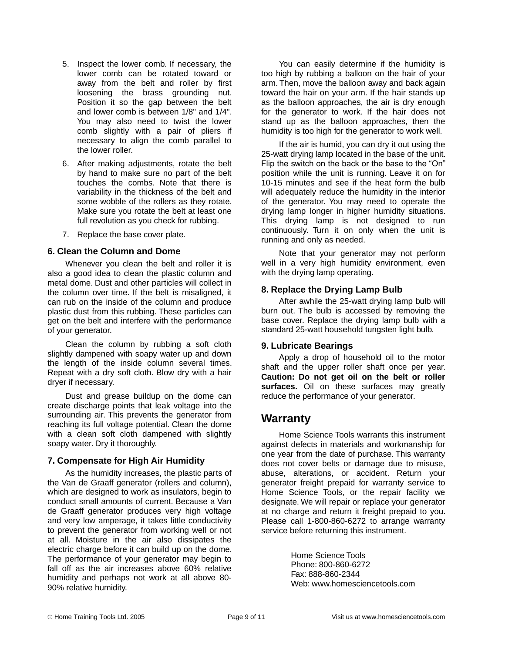- 5. Inspect the lower comb. If necessary, the lower comb can be rotated toward or away from the belt and roller by first loosening the brass grounding nut. Position it so the gap between the belt and lower comb is between 1/8" and 1/4". You may also need to twist the lower comb slightly with a pair of pliers if necessary to align the comb parallel to the lower roller.
- 6. After making adjustments, rotate the belt by hand to make sure no part of the belt touches the combs. Note that there is variability in the thickness of the belt and some wobble of the rollers as they rotate. Make sure you rotate the belt at least one full revolution as you check for rubbing.
- 7. Replace the base cover plate.

#### **6. Clean the Column and Dome**

Whenever you clean the belt and roller it is also a good idea to clean the plastic column and metal dome. Dust and other particles will collect in the column over time. If the belt is misaligned, it can rub on the inside of the column and produce plastic dust from this rubbing. These particles can get on the belt and interfere with the performance of your generator.

Clean the column by rubbing a soft cloth slightly dampened with soapy water up and down the length of the inside column several times. Repeat with a dry soft cloth. Blow dry with a hair dryer if necessary.

Dust and grease buildup on the dome can create discharge points that leak voltage into the surrounding air. This prevents the generator from reaching its full voltage potential. Clean the dome with a clean soft cloth dampened with slightly soapy water. Dry it thoroughly.

#### **7. Compensate for High Air Humidity**

As the humidity increases, the plastic parts of the Van de Graaff generator (rollers and column), which are designed to work as insulators, begin to conduct small amounts of current. Because a Van de Graaff generator produces very high voltage and very low amperage, it takes little conductivity to prevent the generator from working well or not at all. Moisture in the air also dissipates the electric charge before it can build up on the dome. The performance of your generator may begin to fall off as the air increases above 60% relative humidity and perhaps not work at all above 80- 90% relative humidity.

You can easily determine if the humidity is too high by rubbing a balloon on the hair of your arm. Then, move the balloon away and back again toward the hair on your arm. If the hair stands up as the balloon approaches, the air is dry enough for the generator to work. If the hair does not stand up as the balloon approaches, then the humidity is too high for the generator to work well.

If the air is humid, you can dry it out using the 25-watt drying lamp located in the base of the unit. Flip the switch on the back or the base to the "On" position while the unit is running. Leave it on for 10-15 minutes and see if the heat form the bulb will adequately reduce the humidity in the interior of the generator. You may need to operate the drying lamp longer in higher humidity situations. This drying lamp is not designed to run continuously. Turn it on only when the unit is running and only as needed.

Note that your generator may not perform well in a very high humidity environment, even with the drying lamp operating.

#### **8. Replace the Drying Lamp Bulb**

After awhile the 25-watt drying lamp bulb will burn out. The bulb is accessed by removing the base cover. Replace the drying lamp bulb with a standard 25-watt household tungsten light bulb.

#### **9. Lubricate Bearings**

Apply a drop of household oil to the motor shaft and the upper roller shaft once per year. **Caution: Do not get oil on the belt or roller surfaces.** Oil on these surfaces may greatly reduce the performance of your generator.

#### **Warranty**

Home Science Tools warrants this instrument against defects in materials and workmanship for one year from the date of purchase. This warranty does not cover belts or damage due to misuse, abuse, alterations, or accident. Return your generator freight prepaid for warranty service to Home Science Tools, or the repair facility we designate. We will repair or replace your generator at no charge and return it freight prepaid to you. Please call 1-800-860-6272 to arrange warranty service before returning this instrument.

> Home Science Tools Phone: 800-860-6272 Fax: 888-860-2344 Web: www.homesciencetools.com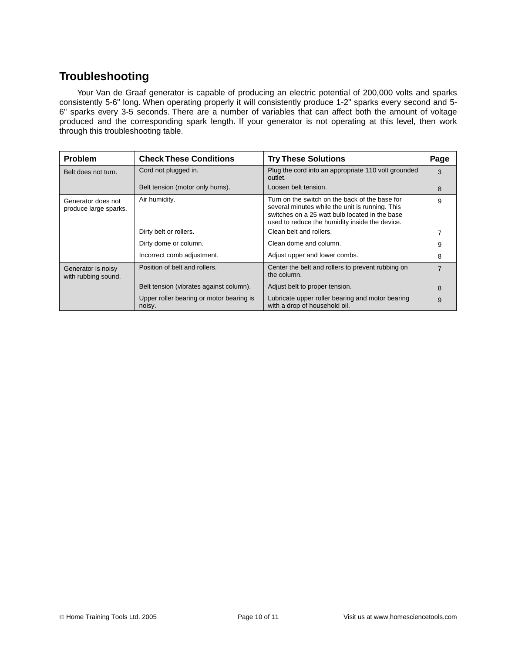## **Troubleshooting**

Your Van de Graaf generator is capable of producing an electric potential of 200,000 volts and sparks consistently 5-6" long. When operating properly it will consistently produce 1-2" sparks every second and 5- 6" sparks every 3-5 seconds. There are a number of variables that can affect both the amount of voltage produced and the corresponding spark length. If your generator is not operating at this level, then work through this troubleshooting table.

| <b>Problem</b>                              | <b>Check These Conditions</b>                      | <b>Try These Solutions</b>                                                                                                                                                                            | Page           |
|---------------------------------------------|----------------------------------------------------|-------------------------------------------------------------------------------------------------------------------------------------------------------------------------------------------------------|----------------|
| Belt does not turn.                         | Cord not plugged in.                               | Plug the cord into an appropriate 110 volt grounded<br>outlet.                                                                                                                                        | 3              |
|                                             | Belt tension (motor only hums).                    | Loosen belt tension.                                                                                                                                                                                  | 8              |
| Generator does not<br>produce large sparks. | Air humidity.                                      | Turn on the switch on the back of the base for<br>several minutes while the unit is running. This<br>switches on a 25 watt bulb located in the base<br>used to reduce the humidity inside the device. | 9              |
|                                             | Dirty belt or rollers.                             | Clean belt and rollers.                                                                                                                                                                               |                |
|                                             | Dirty dome or column.                              | Clean dome and column.                                                                                                                                                                                | 9              |
|                                             | Incorrect comb adjustment.                         | Adjust upper and lower combs.                                                                                                                                                                         | 8              |
| Generator is noisy<br>with rubbing sound.   | Position of belt and rollers.                      | Center the belt and rollers to prevent rubbing on<br>the column.                                                                                                                                      | $\overline{7}$ |
|                                             | Belt tension (vibrates against column).            | Adjust belt to proper tension.                                                                                                                                                                        | 8              |
|                                             | Upper roller bearing or motor bearing is<br>noisy. | Lubricate upper roller bearing and motor bearing<br>with a drop of household oil.                                                                                                                     | 9              |